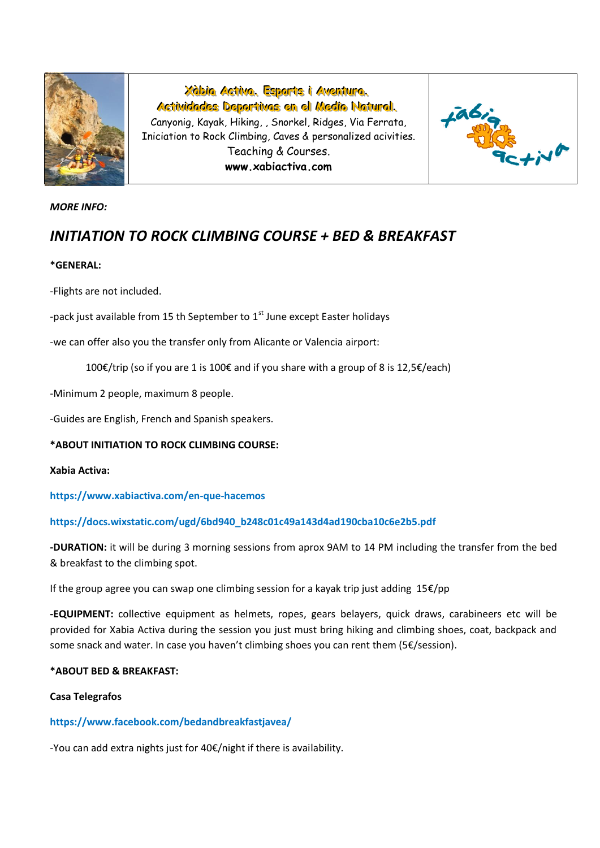

**XXààbbi iiaa AAcctti iivvaa... EEssppoorrttss i ii AAvveennttuurraa...** Actividades Deportivas en el Medio Natural. Canyonig, Kayak, Hiking, , Snorkel, Ridges, Via Ferrata, Iniciation to Rock Climbing, Caves & personalized acivities.

> Teaching & Courses. **www.xabiactiva.com**



# *MORE INFO:*

# *INITIATION TO ROCK CLIMBING COURSE + BED & BREAKFAST*

# **\*GENERAL:**

-Flights are not included.

-pack just available from 15 th September to  $1<sup>st</sup>$  June except Easter holidays

-we can offer also you the transfer only from Alicante or Valencia airport:

100€/trip (so if you are 1 is 100€ and if you share with a group of 8 is 12,5€/each)

-Minimum 2 people, maximum 8 people.

-Guides are English, French and Spanish speakers.

## **\*ABOUT INITIATION TO ROCK CLIMBING COURSE:**

## **Xabia Activa:**

**https://www.xabiactiva.com/en-que-hacemos**

## **https://docs.wixstatic.com/ugd/6bd940\_b248c01c49a143d4ad190cba10c6e2b5.pdf**

**-DURATION:** it will be during 3 morning sessions from aprox 9AM to 14 PM including the transfer from the bed & breakfast to the climbing spot.

If the group agree you can swap one climbing session for a kayak trip just adding 15€/pp

**-EQUIPMENT:** collective equipment as helmets, ropes, gears belayers, quick draws, carabineers etc will be provided for Xabia Activa during the session you just must bring hiking and climbing shoes, coat, backpack and some snack and water. In case you haven't climbing shoes you can rent them (5€/session).

# **\*ABOUT BED & BREAKFAST:**

## **Casa Telegrafos**

# **https://www.facebook.com/bedandbreakfastjavea/**

-You can add extra nights just for 40€/night if there is availability.